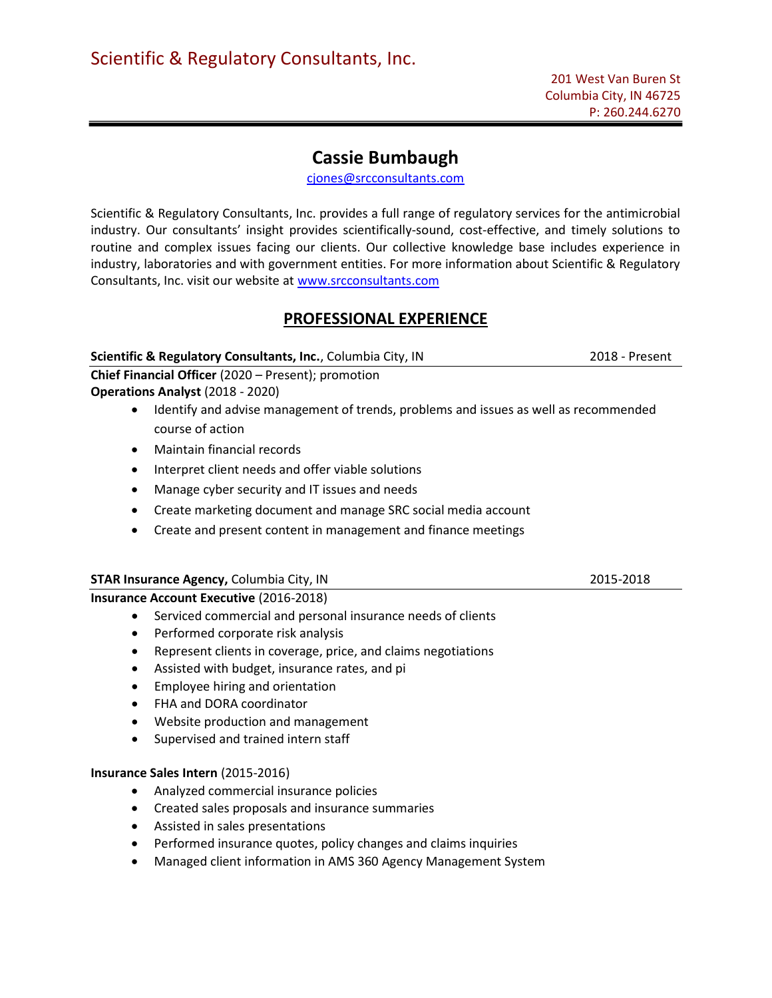# Cassie Bumbaugh

cjones@srcconsultants.com

Scientific & Regulatory Consultants, Inc. provides a full range of regulatory services for the antimicrobial industry. Our consultants' insight provides scientifically-sound, cost-effective, and timely solutions to routine and complex issues facing our clients. Our collective knowledge base includes experience in industry, laboratories and with government entities. For more information about Scientific & Regulatory Consultants, Inc. visit our website at www.srcconsultants.com

# PROFESSIONAL EXPERIENCE

Scientific & Regulatory Consultants, Inc., Columbia City, IN 2018 - Present

Chief Financial Officer (2020 – Present); promotion Operations Analyst (2018 - 2020)

- Identify and advise management of trends, problems and issues as well as recommended course of action
- Maintain financial records
- Interpret client needs and offer viable solutions
- Manage cyber security and IT issues and needs
- Create marketing document and manage SRC social media account
- Create and present content in management and finance meetings

## STAR Insurance Agency, Columbia City, IN 2015-2018

## Insurance Account Executive (2016-2018)

- Serviced commercial and personal insurance needs of clients
- Performed corporate risk analysis
- Represent clients in coverage, price, and claims negotiations
- Assisted with budget, insurance rates, and pi
- Employee hiring and orientation
- FHA and DORA coordinator
- Website production and management
- Supervised and trained intern staff

## Insurance Sales Intern (2015-2016)

- Analyzed commercial insurance policies
- Created sales proposals and insurance summaries
- Assisted in sales presentations
- Performed insurance quotes, policy changes and claims inquiries
- Managed client information in AMS 360 Agency Management System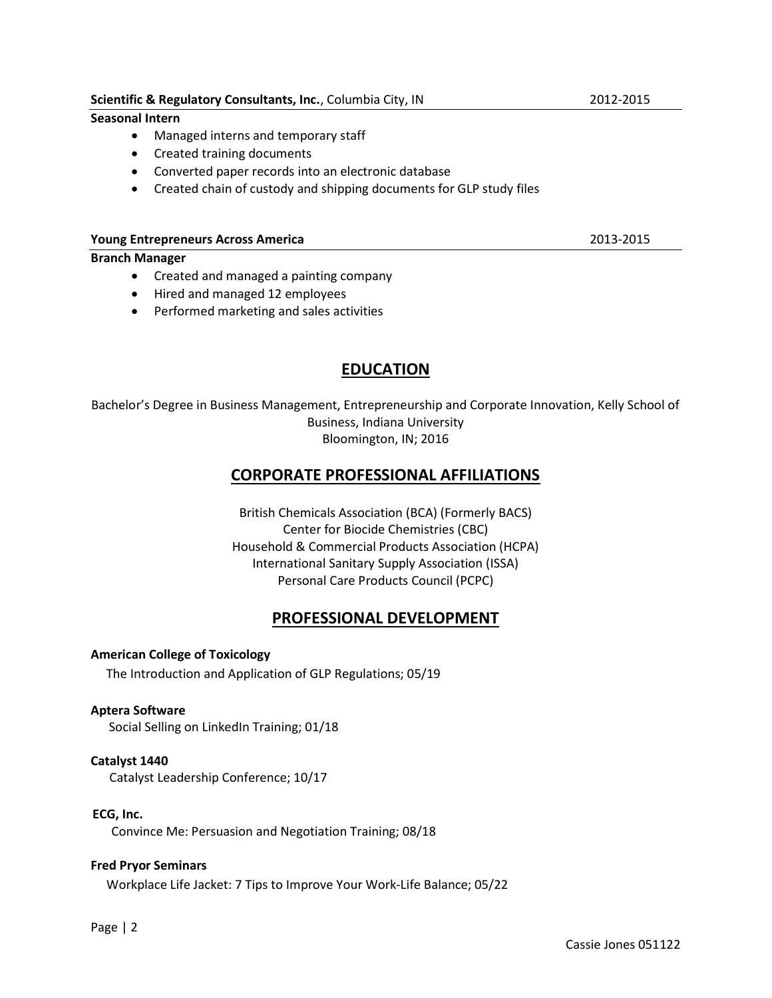## Scientific & Regulatory Consultants, Inc., Columbia City, IN 2012-2015

## Seasonal Intern

- Managed interns and temporary staff
- Created training documents
- Converted paper records into an electronic database
- Created chain of custody and shipping documents for GLP study files

#### Young Entrepreneurs Across America 2013-2015

### Branch Manager

- Created and managed a painting company
- Hired and managed 12 employees
- Performed marketing and sales activities

# EDUCATION

Bachelor's Degree in Business Management, Entrepreneurship and Corporate Innovation, Kelly School of Business, Indiana University Bloomington, IN; 2016

# CORPORATE PROFESSIONAL AFFILIATIONS

British Chemicals Association (BCA) (Formerly BACS) Center for Biocide Chemistries (CBC) Household & Commercial Products Association (HCPA) International Sanitary Supply Association (ISSA) Personal Care Products Council (PCPC)

# PROFESSIONAL DEVELOPMENT

American College of Toxicology

The Introduction and Application of GLP Regulations; 05/19

### Aptera Software

Social Selling on LinkedIn Training; 01/18

### Catalyst 1440

Catalyst Leadership Conference; 10/17

### ECG, Inc.

Convince Me: Persuasion and Negotiation Training; 08/18

### Fred Pryor Seminars

Workplace Life Jacket: 7 Tips to Improve Your Work-Life Balance; 05/22